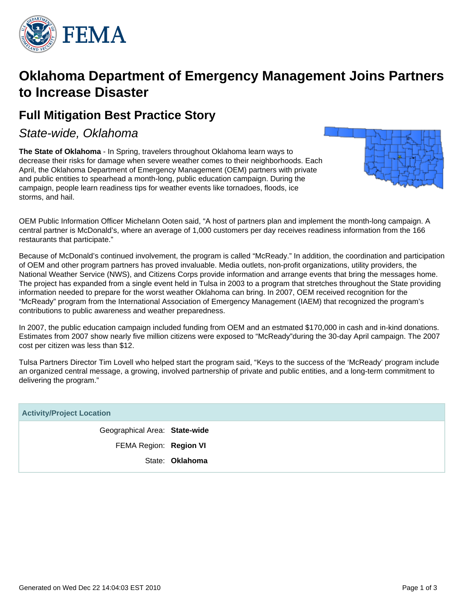

# **Oklahoma Department of Emergency Management Joins Partners to Increase Disaster**

# **Full Mitigation Best Practice Story**

State-wide, Oklahoma

**The State of Oklahoma** - In Spring, travelers throughout Oklahoma learn ways to decrease their risks for damage when severe weather comes to their neighborhoods. Each April, the Oklahoma Department of Emergency Management (OEM) partners with private and public entities to spearhead a month-long, public education campaign. During the campaign, people learn readiness tips for weather events like tornadoes, floods, ice storms, and hail.



OEM Public Information Officer Michelann Ooten said, "A host of partners plan and implement the month-long campaign. A central partner is McDonald's, where an average of 1,000 customers per day receives readiness information from the 166 restaurants that participate."

Because of McDonald's continued involvement, the program is called "McReady." In addition, the coordination and participation of OEM and other program partners has proved invaluable. Media outlets, non-profit organizations, utility providers, the National Weather Service (NWS), and Citizens Corps provide information and arrange events that bring the messages home. The project has expanded from a single event held in Tulsa in 2003 to a program that stretches throughout the State providing information needed to prepare for the worst weather Oklahoma can bring. In 2007, OEM received recognition for the "McReady" program from the International Association of Emergency Management (IAEM) that recognized the program's contributions to public awareness and weather preparedness.

In 2007, the public education campaign included funding from OEM and an estmated \$170,000 in cash and in-kind donations. Estimates from 2007 show nearly five million citizens were exposed to "McReady"during the 30-day April campaign. The 2007 cost per citizen was less than \$12.

Tulsa Partners Director Tim Lovell who helped start the program said, "Keys to the success of the 'McReady' program include an organized central message, a growing, involved partnership of private and public entities, and a long-term commitment to delivering the program."

| <b>Activity/Project Location</b> |                 |  |  |  |  |
|----------------------------------|-----------------|--|--|--|--|
| Geographical Area: State-wide    |                 |  |  |  |  |
| FEMA Region: Region VI           |                 |  |  |  |  |
|                                  | State: Oklahoma |  |  |  |  |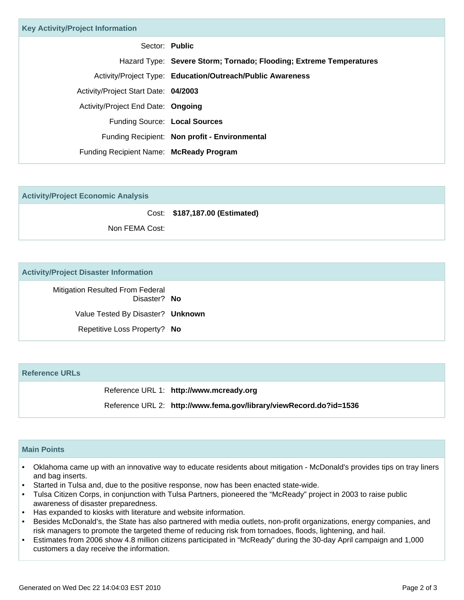| <b>Key Activity/Project Information</b> |                                                                    |  |  |  |  |  |
|-----------------------------------------|--------------------------------------------------------------------|--|--|--|--|--|
| Sector: Public                          |                                                                    |  |  |  |  |  |
|                                         | Hazard Type: Severe Storm; Tornado; Flooding; Extreme Temperatures |  |  |  |  |  |
|                                         | Activity/Project Type: Education/Outreach/Public Awareness         |  |  |  |  |  |
| Activity/Project Start Date: 04/2003    |                                                                    |  |  |  |  |  |
| Activity/Project End Date: Ongoing      |                                                                    |  |  |  |  |  |
| Funding Source: Local Sources           |                                                                    |  |  |  |  |  |
|                                         | Funding Recipient: Non profit - Environmental                      |  |  |  |  |  |
| Funding Recipient Name: McReady Program |                                                                    |  |  |  |  |  |
|                                         |                                                                    |  |  |  |  |  |

|  |  | <b>Activity/Project Economic Analysis</b> |
|--|--|-------------------------------------------|
|  |  |                                           |

Cost: **\$187,187.00 (Estimated)**

Non FEMA Cost:

#### **Activity/Project Disaster Information**

Mitigation Resulted From Federal Disaster? **No** Value Tested By Disaster? **Unknown** Repetitive Loss Property? **No**

## **Reference URLs**

Reference URL 1: **http://www.mcready.org**

Reference URL 2: **http://www.fema.gov/library/viewRecord.do?id=1536**

## **Main Points**

- Oklahoma came up with an innovative way to educate residents about mitigation McDonald's provides tips on tray liners and bag inserts.
- Started in Tulsa and, due to the positive response, now has been enacted state-wide.
- Tulsa Citizen Corps, in conjunction with Tulsa Partners, pioneered the "McReady" project in 2003 to raise public awareness of disaster preparedness.
- Has expanded to kiosks with literature and website information.
- Besides McDonald's, the State has also partnered with media outlets, non-profit organizations, energy companies, and risk managers to promote the targeted theme of reducing risk from tornadoes, floods, lightening, and hail.
- Estimates from 2006 show 4.8 million citizens participated in "McReady" during the 30-day April campaign and 1,000 customers a day receive the information. •